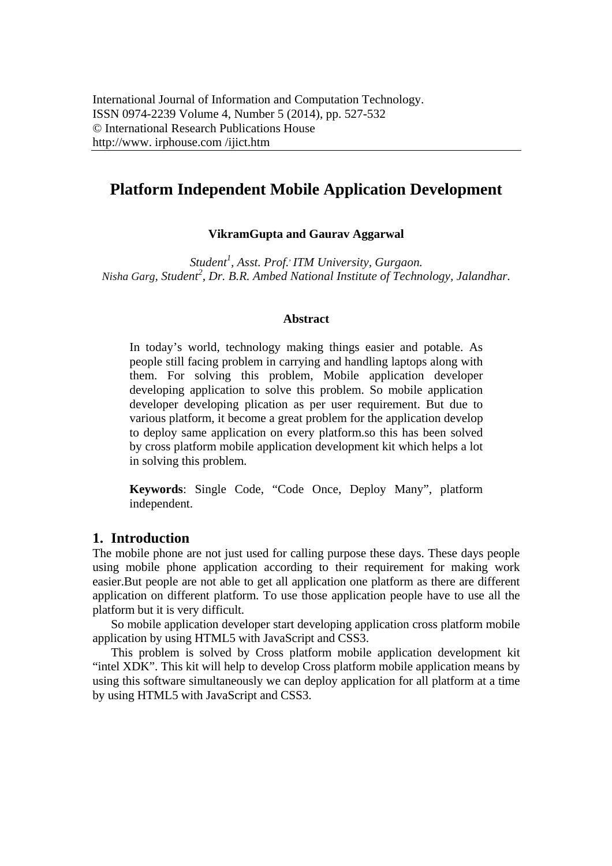# **Platform Independent Mobile Application Development**

### **VikramGupta and Gaurav Aggarwal**

*Student<sup>1</sup> , Asst. Prof., ITM University, Gurgaon. Nisha Garg, Student<sup>2</sup> , Dr. B.R. Ambed National Institute of Technology, Jalandhar.*

#### **Abstract**

In today's world, technology making things easier and potable. As people still facing problem in carrying and handling laptops along with them. For solving this problem, Mobile application developer developing application to solve this problem. So mobile application developer developing plication as per user requirement. But due to various platform, it become a great problem for the application develop to deploy same application on every platform.so this has been solved by cross platform mobile application development kit which helps a lot in solving this problem.

**Keywords**: Single Code, "Code Once, Deploy Many", platform independent.

### **1. Introduction**

The mobile phone are not just used for calling purpose these days. These days people using mobile phone application according to their requirement for making work easier.But people are not able to get all application one platform as there are different application on different platform. To use those application people have to use all the platform but it is very difficult.

So mobile application developer start developing application cross platform mobile application by using HTML5 with JavaScript and CSS3.

This problem is solved by Cross platform mobile application development kit "intel XDK". This kit will help to develop Cross platform mobile application means by using this software simultaneously we can deploy application for all platform at a time by using HTML5 with JavaScript and CSS3.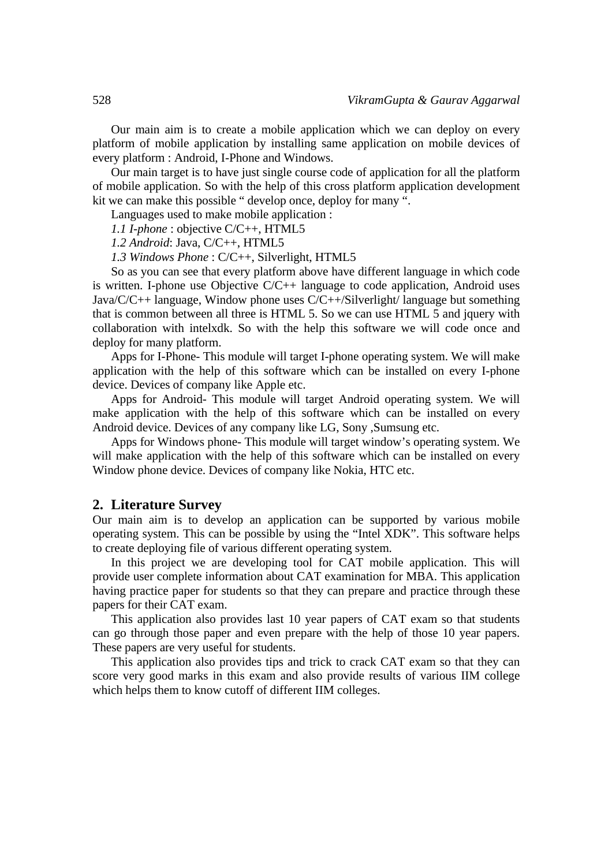Our main aim is to create a mobile application which we can deploy on every platform of mobile application by installing same application on mobile devices of every platform : Android, I-Phone and Windows.

Our main target is to have just single course code of application for all the platform of mobile application. So with the help of this cross platform application development kit we can make this possible " develop once, deploy for many ".

Languages used to make mobile application :

*1.1 I-phone* : objective C/C++, HTML5

*1.2 Android*: Java, C/C++, HTML5

*1.3 Windows Phone* : C/C++, Silverlight, HTML5

So as you can see that every platform above have different language in which code is written. I-phone use Objective  $C/C++$  language to code application, Android uses Java/C/C++ language, Window phone uses C/C++/Silverlight/ language but something that is common between all three is HTML 5. So we can use HTML 5 and jquery with collaboration with intelxdk. So with the help this software we will code once and deploy for many platform.

Apps for I-Phone- This module will target I-phone operating system. We will make application with the help of this software which can be installed on every I-phone device. Devices of company like Apple etc.

Apps for Android- This module will target Android operating system. We will make application with the help of this software which can be installed on every Android device. Devices of any company like LG, Sony ,Sumsung etc.

Apps for Windows phone- This module will target window's operating system. We will make application with the help of this software which can be installed on every Window phone device. Devices of company like Nokia, HTC etc.

#### **2. Literature Survey**

Our main aim is to develop an application can be supported by various mobile operating system. This can be possible by using the "Intel XDK". This software helps to create deploying file of various different operating system.

In this project we are developing tool for CAT mobile application. This will provide user complete information about CAT examination for MBA. This application having practice paper for students so that they can prepare and practice through these papers for their CAT exam.

This application also provides last 10 year papers of CAT exam so that students can go through those paper and even prepare with the help of those 10 year papers. These papers are very useful for students.

This application also provides tips and trick to crack CAT exam so that they can score very good marks in this exam and also provide results of various IIM college which helps them to know cutoff of different IIM colleges.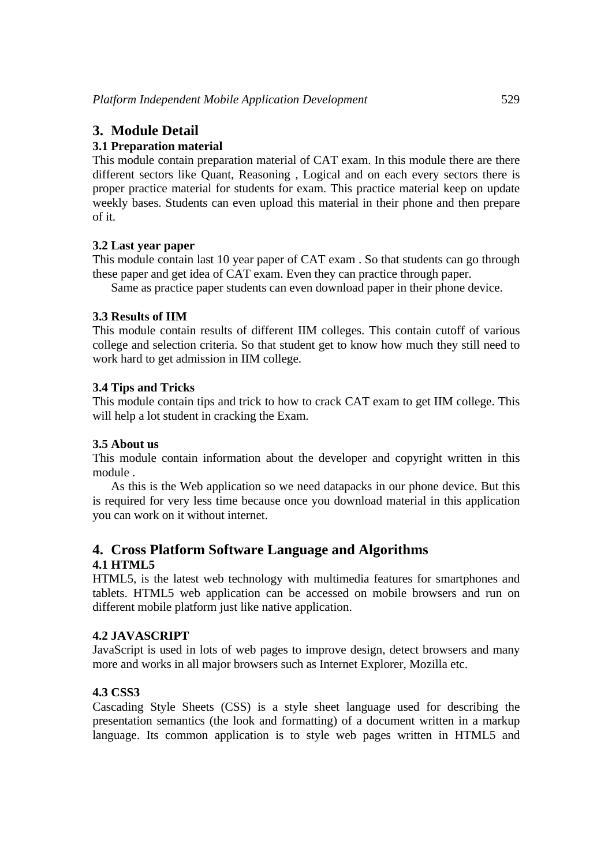## **3. Module Detail**

### **3.1 Preparation material**

This module contain preparation material of CAT exam. In this module there are there different sectors like Quant, Reasoning , Logical and on each every sectors there is proper practice material for students for exam. This practice material keep on update weekly bases. Students can even upload this material in their phone and then prepare of it.

### **3.2 Last year paper**

This module contain last 10 year paper of CAT exam . So that students can go through these paper and get idea of CAT exam. Even they can practice through paper.

Same as practice paper students can even download paper in their phone device.

### **3.3 Results of IIM**

This module contain results of different IIM colleges. This contain cutoff of various college and selection criteria. So that student get to know how much they still need to work hard to get admission in IIM college.

### **3.4 Tips and Tricks**

This module contain tips and trick to how to crack CAT exam to get IIM college. This will help a lot student in cracking the Exam.

### **3.5 About us**

This module contain information about the developer and copyright written in this module .

As this is the Web application so we need datapacks in our phone device. But this is required for very less time because once you download material in this application you can work on it without internet.

## **4. Cross Platform Software Language and Algorithms 4.1 HTML5**

HTML5, is the latest web technology with multimedia features for smartphones and tablets. HTML5 web application can be accessed on mobile browsers and run on different mobile platform just like native application.

### **4.2 JAVASCRIPT**

JavaScript is used in lots of web pages to improve design, detect browsers and many more and works in all major browsers such as Internet Explorer, Mozilla etc.

### **4.3 CSS3**

Cascading Style Sheets (CSS) is a style sheet language used for describing the presentation semantics (the look and formatting) of a document written in a markup language. Its common application is to style web pages written in HTML5 and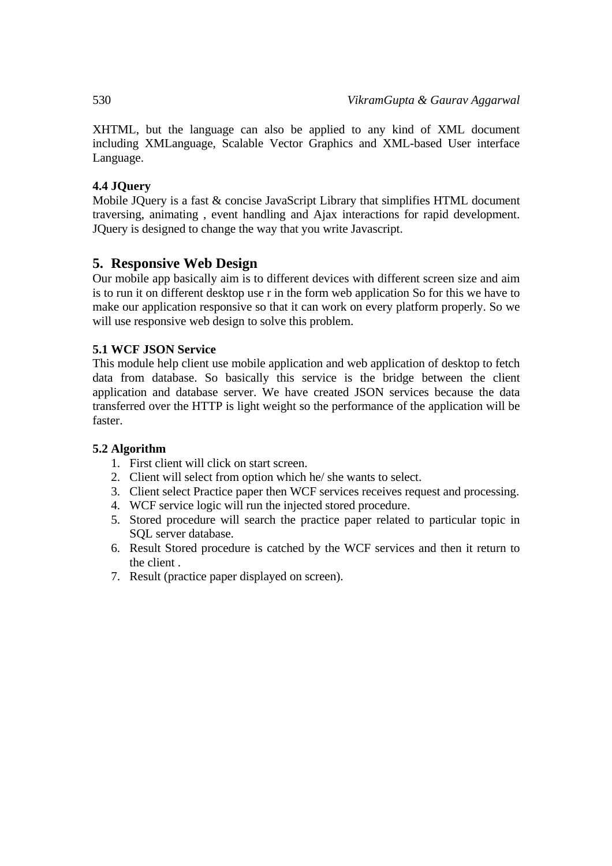XHTML, but the language can also be applied to any kind of XML document including XMLanguage, Scalable Vector Graphics and XML-based User interface Language.

### **4.4 JQuery**

Mobile JQuery is a fast & concise JavaScript Library that simplifies HTML document traversing, animating , event handling and Ajax interactions for rapid development. JQuery is designed to change the way that you write Javascript.

## **5. Responsive Web Design**

Our mobile app basically aim is to different devices with different screen size and aim is to run it on different desktop use r in the form web application So for this we have to make our application responsive so that it can work on every platform properly. So we will use responsive web design to solve this problem.

## **5.1 WCF JSON Service**

This module help client use mobile application and web application of desktop to fetch data from database. So basically this service is the bridge between the client application and database server. We have created JSON services because the data transferred over the HTTP is light weight so the performance of the application will be faster.

### **5.2 Algorithm**

- 1. First client will click on start screen.
- 2. Client will select from option which he/ she wants to select.
- 3. Client select Practice paper then WCF services receives request and processing.
- 4. WCF service logic will run the injected stored procedure.
- 5. Stored procedure will search the practice paper related to particular topic in SQL server database.
- 6. Result Stored procedure is catched by the WCF services and then it return to the client .
- 7. Result (practice paper displayed on screen).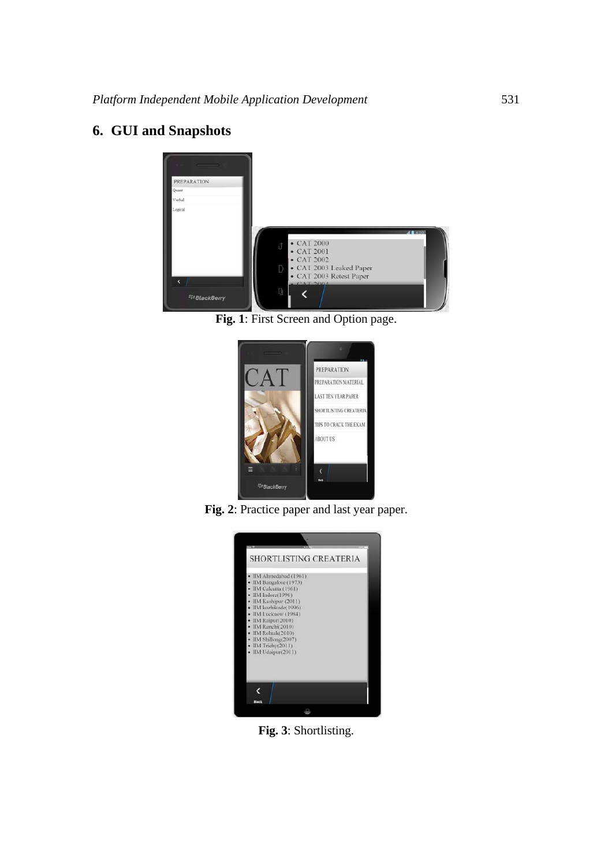# **6. GUI and Snapshots**



**Fig. 1**: First Screen and Option page.



**Fig. 2**: Practice paper and last year paper.



**Fig. 3**: Shortlisting.